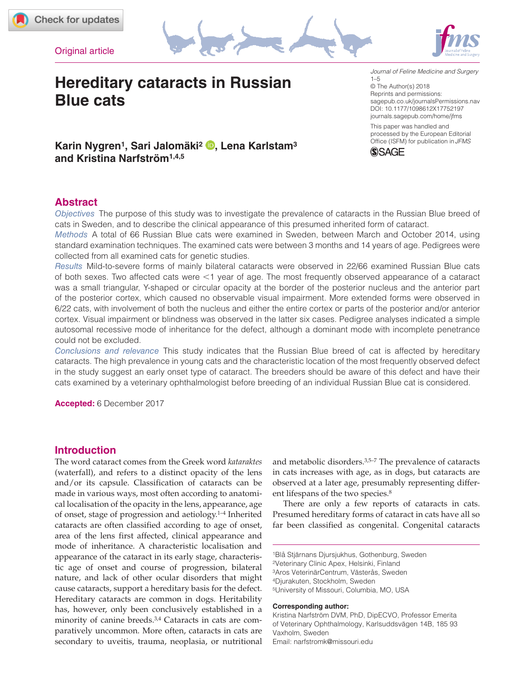







# **Hereditary cataracts in Russian Blue cats**

DOI: 10.1177/1098612X17752197 *Journal of Feline Medicine and Surgery*  $1 - 5$ © The Author(s) 2018 Reprints and permissions: [sagepub.co.uk/journalsPermissions.nav](https://uk.sagepub.com/en-gb/journals-permissions) [journals.sagepub.com/home/jfms](https://journals.sagepub.com/home/jfms) This paper was handled and processed by the European Editorial Office (ISFM) for publication in*JFMS*



# **Karin Nygren1, Sari Jalomäki2 , Lena Karlstam3 and Kristina Narfström1,4,5**

# **Abstract**

*Objectives* The purpose of this study was to investigate the prevalence of cataracts in the Russian Blue breed of cats in Sweden, and to describe the clinical appearance of this presumed inherited form of cataract.

*Methods* A total of 66 Russian Blue cats were examined in Sweden, between March and October 2014, using standard examination techniques. The examined cats were between 3 months and 14 years of age. Pedigrees were collected from all examined cats for genetic studies.

*Results* Mild-to-severe forms of mainly bilateral cataracts were observed in 22/66 examined Russian Blue cats of both sexes. Two affected cats were <1 year of age. The most frequently observed appearance of a cataract was a small triangular, Y-shaped or circular opacity at the border of the posterior nucleus and the anterior part of the posterior cortex, which caused no observable visual impairment. More extended forms were observed in 6/22 cats, with involvement of both the nucleus and either the entire cortex or parts of the posterior and/or anterior cortex. Visual impairment or blindness was observed in the latter six cases. Pedigree analyses indicated a simple autosomal recessive mode of inheritance for the defect, although a dominant mode with incomplete penetrance could not be excluded.

*Conclusions and relevance* This study indicates that the Russian Blue breed of cat is affected by hereditary cataracts. The high prevalence in young cats and the characteristic location of the most frequently observed defect in the study suggest an early onset type of cataract. The breeders should be aware of this defect and have their cats examined by a veterinary ophthalmologist before breeding of an individual Russian Blue cat is considered.

**Accepted:** 6 December 2017

## **Introduction**

The word cataract comes from the Greek word *kataraktes* (waterfall), and refers to a distinct opacity of the lens and/or its capsule. Classification of cataracts can be made in various ways, most often according to anatomical localisation of the opacity in the lens, appearance, age of onset, stage of progression and aetiology.1–4 Inherited cataracts are often classified according to age of onset, area of the lens first affected, clinical appearance and mode of inheritance. A characteristic localisation and appearance of the cataract in its early stage, characteristic age of onset and course of progression, bilateral nature, and lack of other ocular disorders that might cause cataracts, support a hereditary basis for the defect. Hereditary cataracts are common in dogs. Heritability has, however, only been conclusively established in a minority of canine breeds.3,4 Cataracts in cats are comparatively uncommon. More often, cataracts in cats are secondary to uveitis, trauma, neoplasia, or nutritional and metabolic disorders.3,5–7 The prevalence of cataracts in cats increases with age, as in dogs, but cataracts are observed at a later age, presumably representing different lifespans of the two species.<sup>8</sup>

There are only a few reports of cataracts in cats. Presumed hereditary forms of cataract in cats have all so far been classified as congenital. Congenital cataracts

1Blå Stjärnans Djursjukhus, Gothenburg, Sweden 2Veterinary Clinic Apex, Helsinki, Finland 3Aros VeterinärCentrum, Västerås, Sweden 4Djurakuten, Stockholm, Sweden 5University of Missouri, Columbia, MO, USA

#### **Corresponding author:**

Kristina Narfström DVM, PhD, DipECVO, Professor Emerita of Veterinary Ophthalmology, Karlsuddsvägen 14B, 185 93 Vaxholm, Sweden Email: [narfstromk@missouri.edu](mailto:narfstromk@missouri.edu)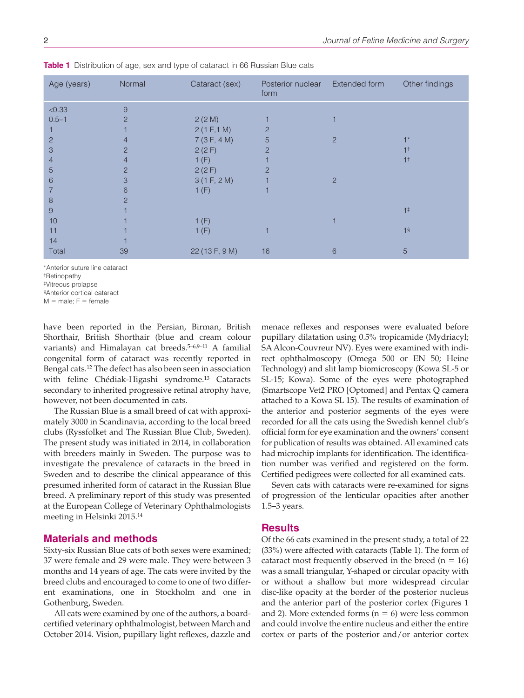| Age (years)    | Normal         | Cataract (sex) | Posterior nuclear<br>form | Extended form  | Other findings |
|----------------|----------------|----------------|---------------------------|----------------|----------------|
| < 0.33         | 9              |                |                           |                |                |
| $0.5 - 1$      | $\overline{2}$ | 2(2M)          |                           |                |                |
|                |                | 2(1 F, 1 M)    | $\overline{2}$            |                |                |
| $\overline{2}$ | 4              | 7(3F, 4M)      | 5                         | 2              |                |
| 3              | $\overline{2}$ | 2(2F)          | $\overline{2}$            |                |                |
| 4              | 4              | 1(F)           |                           |                | 1 <sup>†</sup> |
| 5              | $\overline{2}$ | 2(2F)          | $\overline{2}$            |                |                |
| 6              | 3              | 3(1 F, 2 M)    |                           | $\overline{2}$ |                |
|                | 6              | 1(F)           |                           |                |                |
| 8              | 2              |                |                           |                |                |
| 9              |                |                |                           |                | $1^{\ddagger}$ |
| 10             |                | 1(F)           |                           |                |                |
| 11             |                | 1(F)           |                           |                | 1 <sup>§</sup> |
| 14             |                |                |                           |                |                |
| Total          | 39             | 22 (13 F, 9 M) | 16                        | 6              | 5              |

**Table 1** Distribution of age, sex and type of cataract in 66 Russian Blue cats

\*Anterior suture line cataract

†Retinopathy

‡Vitreous prolapse

§Anterior cortical cataract

 $M = male$ ;  $F = female$ 

have been reported in the Persian, Birman, British Shorthair, British Shorthair (blue and cream colour variants) and Himalayan cat breeds.<sup>5-6,9-11</sup> A familial congenital form of cataract was recently reported in Bengal cats.12 The defect has also been seen in association with feline Chédiak-Higashi syndrome.13 Cataracts secondary to inherited progressive retinal atrophy have, however, not been documented in cats.

The Russian Blue is a small breed of cat with approximately 3000 in Scandinavia, according to the local breed clubs (Ryssfolket and The Russian Blue Club, Sweden). The present study was initiated in 2014, in collaboration with breeders mainly in Sweden. The purpose was to investigate the prevalence of cataracts in the breed in Sweden and to describe the clinical appearance of this presumed inherited form of cataract in the Russian Blue breed. A preliminary report of this study was presented at the European College of Veterinary Ophthalmologists meeting in Helsinki 2015.14

## **Materials and methods**

Sixty-six Russian Blue cats of both sexes were examined; 37 were female and 29 were male. They were between 3 months and 14 years of age. The cats were invited by the breed clubs and encouraged to come to one of two different examinations, one in Stockholm and one in Gothenburg, Sweden.

All cats were examined by one of the authors, a boardcertified veterinary ophthalmologist, between March and October 2014. Vision, pupillary light reflexes, dazzle and menace reflexes and responses were evaluated before pupillary dilatation using 0.5% tropicamide (Mydriacyl; SA Alcon-Couvreur NV). Eyes were examined with indirect ophthalmoscopy (Omega 500 or EN 50; Heine Technology) and slit lamp biomicroscopy (Kowa SL-5 or SL-15; Kowa). Some of the eyes were photographed (Smartscope Vet2 PRO [Optomed] and Pentax Q camera attached to a Kowa SL 15). The results of examination of the anterior and posterior segments of the eyes were recorded for all the cats using the Swedish kennel club's official form for eye examination and the owners' consent for publication of results was obtained. All examined cats had microchip implants for identification. The identification number was verified and registered on the form. Certified pedigrees were collected for all examined cats.

Seven cats with cataracts were re-examined for signs of progression of the lenticular opacities after another 1.5–3 years.

## **Results**

Of the 66 cats examined in the present study, a total of 22 (33%) were affected with cataracts (Table 1). The form of cataract most frequently observed in the breed  $(n = 16)$ was a small triangular, Y-shaped or circular opacity with or without a shallow but more widespread circular disc-like opacity at the border of the posterior nucleus and the anterior part of the posterior cortex (Figures 1 and 2). More extended forms ( $n = 6$ ) were less common and could involve the entire nucleus and either the entire cortex or parts of the posterior and/or anterior cortex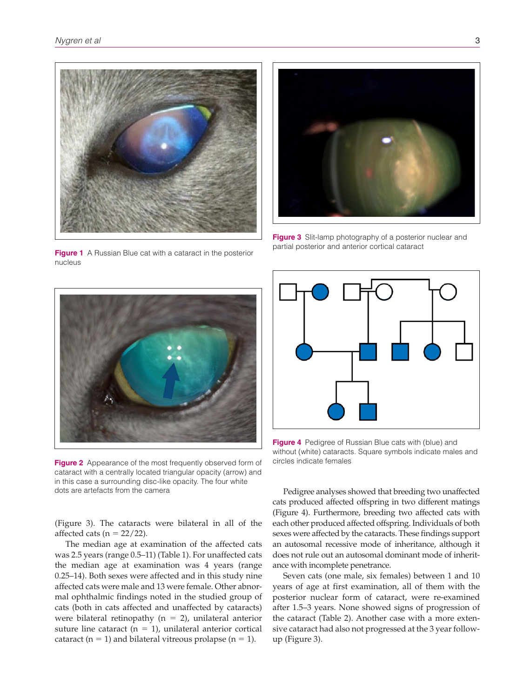

**Figure 1** A Russian Blue cat with a cataract in the posterior nucleus



**Figure 3** Slit-lamp photography of a posterior nuclear and partial posterior and anterior cortical cataract



**Figure 2** Appearance of the most frequently observed form of cataract with a centrally located triangular opacity (arrow) and in this case a surrounding disc-like opacity. The four white dots are artefacts from the camera

**Figure 4** Pedigree of Russian Blue cats with (blue) and without (white) cataracts. Square symbols indicate males and circles indicate females

(Figure 3). The cataracts were bilateral in all of the affected cats ( $n = 22/22$ ).

The median age at examination of the affected cats was 2.5 years (range 0.5–11) (Table 1). For unaffected cats the median age at examination was 4 years (range 0.25–14). Both sexes were affected and in this study nine affected cats were male and 13 were female. Other abnormal ophthalmic findings noted in the studied group of cats (both in cats affected and unaffected by cataracts) were bilateral retinopathy ( $n = 2$ ), unilateral anterior suture line cataract ( $n = 1$ ), unilateral anterior cortical cataract ( $n = 1$ ) and bilateral vitreous prolapse ( $n = 1$ ).

Pedigree analyses showed that breeding two unaffected cats produced affected offspring in two different matings (Figure 4). Furthermore, breeding two affected cats with each other produced affected offspring. Individuals of both sexes were affected by the cataracts. These findings support an autosomal recessive mode of inheritance, although it does not rule out an autosomal dominant mode of inheritance with incomplete penetrance.

Seven cats (one male, six females) between 1 and 10 years of age at first examination, all of them with the posterior nuclear form of cataract, were re-examined after 1.5–3 years. None showed signs of progression of the cataract (Table 2). Another case with a more extensive cataract had also not progressed at the 3 year followup (Figure 3).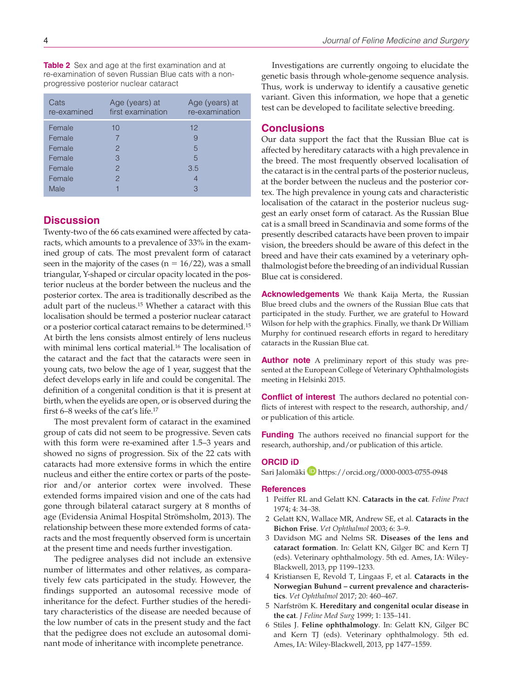**Table 2** Sex and age at the first examination and at re-examination of seven Russian Blue cats with a nonprogressive posterior nuclear cataract

| Cats<br>re-examined | Age (years) at<br>first examination | Age (years) at<br>re-examination |
|---------------------|-------------------------------------|----------------------------------|
| Female              | 10                                  | 12                               |
| Female              |                                     | 9                                |
| Female              | $\mathcal{P}$                       | 5                                |
| Female              | 3                                   | 5                                |
| Female              | $\mathcal{P}$                       | 3.5                              |
| Female              | 2                                   | 4                                |
| Male                |                                     | З                                |

## **Discussion**

Twenty-two of the 66 cats examined were affected by cataracts, which amounts to a prevalence of 33% in the examined group of cats. The most prevalent form of cataract seen in the majority of the cases ( $n = 16/22$ ), was a small triangular, Y-shaped or circular opacity located in the posterior nucleus at the border between the nucleus and the posterior cortex. The area is traditionally described as the adult part of the nucleus.15 Whether a cataract with this localisation should be termed a posterior nuclear cataract or a posterior cortical cataract remains to be determined.15 At birth the lens consists almost entirely of lens nucleus with minimal lens cortical material.<sup>16</sup> The localisation of the cataract and the fact that the cataracts were seen in young cats, two below the age of 1 year, suggest that the defect develops early in life and could be congenital. The definition of a congenital condition is that it is present at birth, when the eyelids are open, or is observed during the first 6–8 weeks of the cat's life.17

The most prevalent form of cataract in the examined group of cats did not seem to be progressive. Seven cats with this form were re-examined after 1.5–3 years and showed no signs of progression. Six of the 22 cats with cataracts had more extensive forms in which the entire nucleus and either the entire cortex or parts of the posterior and/or anterior cortex were involved. These extended forms impaired vision and one of the cats had gone through bilateral cataract surgery at 8 months of age (Evidensia Animal Hospital Strömsholm, 2013). The relationship between these more extended forms of cataracts and the most frequently observed form is uncertain at the present time and needs further investigation.

The pedigree analyses did not include an extensive number of littermates and other relatives, as comparatively few cats participated in the study. However, the findings supported an autosomal recessive mode of inheritance for the defect. Further studies of the hereditary characteristics of the disease are needed because of the low number of cats in the present study and the fact that the pedigree does not exclude an autosomal dominant mode of inheritance with incomplete penetrance.

Investigations are currently ongoing to elucidate the genetic basis through whole-genome sequence analysis. Thus, work is underway to identify a causative genetic variant. Given this information, we hope that a genetic test can be developed to facilitate selective breeding.

## **Conclusions**

Our data support the fact that the Russian Blue cat is affected by hereditary cataracts with a high prevalence in the breed. The most frequently observed localisation of the cataract is in the central parts of the posterior nucleus, at the border between the nucleus and the posterior cortex. The high prevalence in young cats and characteristic localisation of the cataract in the posterior nucleus suggest an early onset form of cataract. As the Russian Blue cat is a small breed in Scandinavia and some forms of the presently described cataracts have been proven to impair vision, the breeders should be aware of this defect in the breed and have their cats examined by a veterinary ophthalmologist before the breeding of an individual Russian Blue cat is considered.

**Acknowledgements** We thank Kaija Merta, the Russian Blue breed clubs and the owners of the Russian Blue cats that participated in the study. Further, we are grateful to Howard Wilson for help with the graphics. Finally, we thank Dr William Murphy for continued research efforts in regard to hereditary cataracts in the Russian Blue cat.

**Author note** A preliminary report of this study was presented at the European College of Veterinary Ophthalmologists meeting in Helsinki 2015.

**Conflict of interest** The authors declared no potential conflicts of interest with respect to the research, authorship, and/ or publication of this article.

**Funding** The authors received no financial support for the research, authorship, and/or publication of this article.

#### **ORCID iD**

Sari Jalomäki **[https://orcid.org/0000-0003-0755-0948](http://orcid.org/0000-0003-0755-0948)** 

#### **References**

- 1 Peiffer RL and Gelatt KN. **Cataracts in the cat**. *Feline Pract* 1974; 4: 34–38.
- 2 Gelatt KN, Wallace MR, Andrew SE, et al. **Cataracts in the Bichon Frise**. *Vet Ophthalmol* 2003; 6: 3–9.
- 3 Davidson MG and Nelms SR. **Diseases of the lens and cataract formation**. In: Gelatt KN, Gilger BC and Kern TJ (eds). Veterinary ophthalmology. 5th ed. Ames, IA: Wiley-Blackwell, 2013, pp 1199–1233.
- 4 Kristiansen E, Revold T, Lingaas F, et al. **Cataracts in the Norwegian Buhund – current prevalence and characteristics**. *Vet Ophthalmol* 2017; 20: 460–467.
- 5 Narfström K. **Hereditary and congenital ocular disease in the cat**. *J Feline Med Surg* 1999; 1: 135–141.
- 6 Stiles J. **Feline ophthalmology**. In: Gelatt KN, Gilger BC and Kern TJ (eds). Veterinary ophthalmology. 5th ed. Ames, IA: Wiley-Blackwell, 2013, pp 1477–1559.